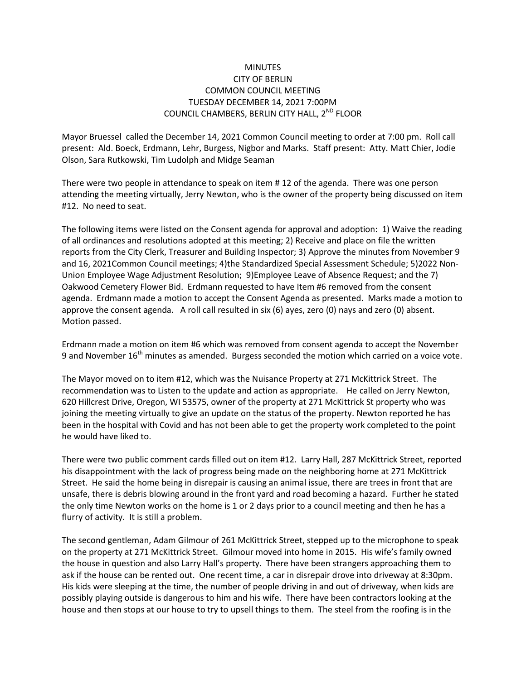## **MINUTES** CITY OF BERLIN COMMON COUNCIL MEETING TUESDAY DECEMBER 14, 2021 7:00PM COUNCIL CHAMBERS, BERLIN CITY HALL, 2<sup>ND</sup> FLOOR

Mayor Bruessel called the December 14, 2021 Common Council meeting to order at 7:00 pm. Roll call present: Ald. Boeck, Erdmann, Lehr, Burgess, Nigbor and Marks. Staff present: Atty. Matt Chier, Jodie Olson, Sara Rutkowski, Tim Ludolph and Midge Seaman

There were two people in attendance to speak on item # 12 of the agenda. There was one person attending the meeting virtually, Jerry Newton, who is the owner of the property being discussed on item #12. No need to seat.

The following items were listed on the Consent agenda for approval and adoption: 1) Waive the reading of all ordinances and resolutions adopted at this meeting; 2) Receive and place on file the written reports from the City Clerk, Treasurer and Building Inspector; 3) Approve the minutes from November 9 and 16, 2021Common Council meetings; 4)the Standardized Special Assessment Schedule; 5)2022 Non-Union Employee Wage Adjustment Resolution; 9)Employee Leave of Absence Request; and the 7) Oakwood Cemetery Flower Bid. Erdmann requested to have Item #6 removed from the consent agenda. Erdmann made a motion to accept the Consent Agenda as presented. Marks made a motion to approve the consent agenda. A roll call resulted in six (6) ayes, zero (0) nays and zero (0) absent. Motion passed.

Erdmann made a motion on item #6 which was removed from consent agenda to accept the November 9 and November 16<sup>th</sup> minutes as amended. Burgess seconded the motion which carried on a voice vote.

The Mayor moved on to item #12, which was the Nuisance Property at 271 McKittrick Street. The recommendation was to Listen to the update and action as appropriate. He called on Jerry Newton, 620 Hillcrest Drive, Oregon, WI 53575, owner of the property at 271 McKittrick St property who was joining the meeting virtually to give an update on the status of the property. Newton reported he has been in the hospital with Covid and has not been able to get the property work completed to the point he would have liked to.

There were two public comment cards filled out on item #12. Larry Hall, 287 McKittrick Street, reported his disappointment with the lack of progress being made on the neighboring home at 271 McKittrick Street. He said the home being in disrepair is causing an animal issue, there are trees in front that are unsafe, there is debris blowing around in the front yard and road becoming a hazard. Further he stated the only time Newton works on the home is 1 or 2 days prior to a council meeting and then he has a flurry of activity. It is still a problem.

The second gentleman, Adam Gilmour of 261 McKittrick Street, stepped up to the microphone to speak on the property at 271 McKittrick Street. Gilmour moved into home in 2015. His wife's family owned the house in question and also Larry Hall's property. There have been strangers approaching them to ask if the house can be rented out. One recent time, a car in disrepair drove into driveway at 8:30pm. His kids were sleeping at the time, the number of people driving in and out of driveway, when kids are possibly playing outside is dangerous to him and his wife. There have been contractors looking at the house and then stops at our house to try to upsell things to them. The steel from the roofing is in the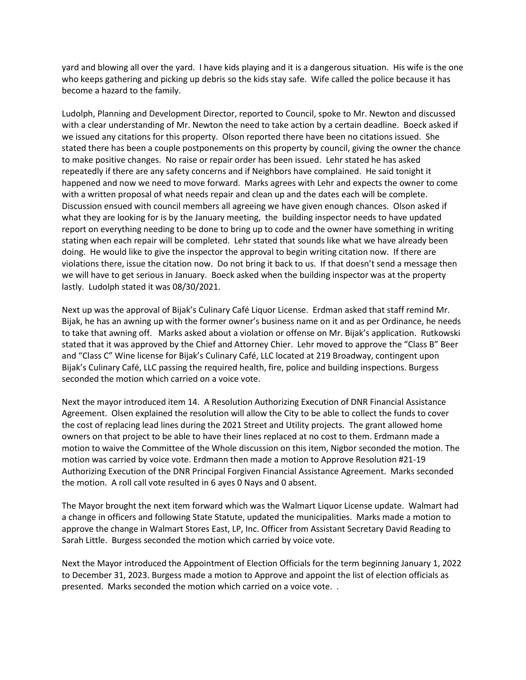yard and blowing all over the yard. I have kids playing and it is a dangerous situation. His wife is the one who keeps gathering and picking up debris so the kids stay safe. Wife called the police because it has become a hazard to the family.

Ludolph, Planning and Development Director, reported to Council, spoke to Mr. Newton and discussed with a clear understanding of Mr. Newton the need to take action by a certain deadline. Boeck asked if we issued any citations for this property. Olson reported there have been no citations issued. She stated there has been a couple postponements on this property by council, giving the owner the chance to make positive changes. No raise or repair order has been issued. Lehr stated he has asked repeatedly if there are any safety concerns and if Neighbors have complained. He said tonight it happened and now we need to move forward. Marks agrees with Lehr and expects the owner to come with a written proposal of what needs repair and clean up and the dates each will be complete. Discussion ensued with council members all agreeing we have given enough chances. Olson asked if what they are looking for is by the January meeting, the building inspector needs to have updated report on everything needing to be done to bring up to code and the owner have something in writing stating when each repair will be completed. Lehr stated that sounds like what we have already been doing. He would like to give the inspector the approval to begin writing citation now. If there are violations there, issue the citation now. Do not bring it back to us. If that doesn't send a message then we will have to get serious in January. Boeck asked when the building inspector was at the property lastly. Ludolph stated it was 08/30/2021.

Next up was the approval of Bijak's Culinary Café Liquor License. Erdman asked that staff remind Mr. Bijak, he has an awning up with the former owner's business name on it and as per Ordinance, he needs to take that awning off. Marks asked about a violation or offense on Mr. Bijak's application. Rutkowski stated that it was approved by the Chief and Attorney Chier. Lehr moved to approve the "Class B" Beer and "Class C" Wine license for Bijak's Culinary Café, LLC located at 219 Broadway, contingent upon Bijak's Culinary Café, LLC passing the required health, fire, police and building inspections. Burgess seconded the motion which carried on a voice vote.

Next the mayor introduced item 14. A Resolution Authorizing Execution of DNR Financial Assistance Agreement. Olsen explained the resolution will allow the City to be able to collect the funds to cover the cost of replacing lead lines during the 2021 Street and Utility projects. The grant allowed home owners on that project to be able to have their lines replaced at no cost to them. Erdmann made a motion to waive the Committee of the Whole discussion on this item, Nigbor seconded the motion. The motion was carried by voice vote. Erdmann then made a motion to Approve Resolution #21-19 Authorizing Execution of the DNR Principal Forgiven Financial Assistance Agreement. Marks seconded the motion. A roll call vote resulted in 6 ayes 0 Nays and 0 absent.

The Mayor brought the next item forward which was the Walmart Liquor License update. Walmart had a change in officers and following State Statute, updated the municipalities. Marks made a motion to approve the change in Walmart Stores East, LP, Inc. Officer from Assistant Secretary David Reading to Sarah Little. Burgess seconded the motion which carried by voice vote.

Next the Mayor introduced the Appointment of Election Officials for the term beginning January 1, 2022 to December 31, 2023. Burgess made a motion to Approve and appoint the list of election officials as presented. Marks seconded the motion which carried on a voice vote. .